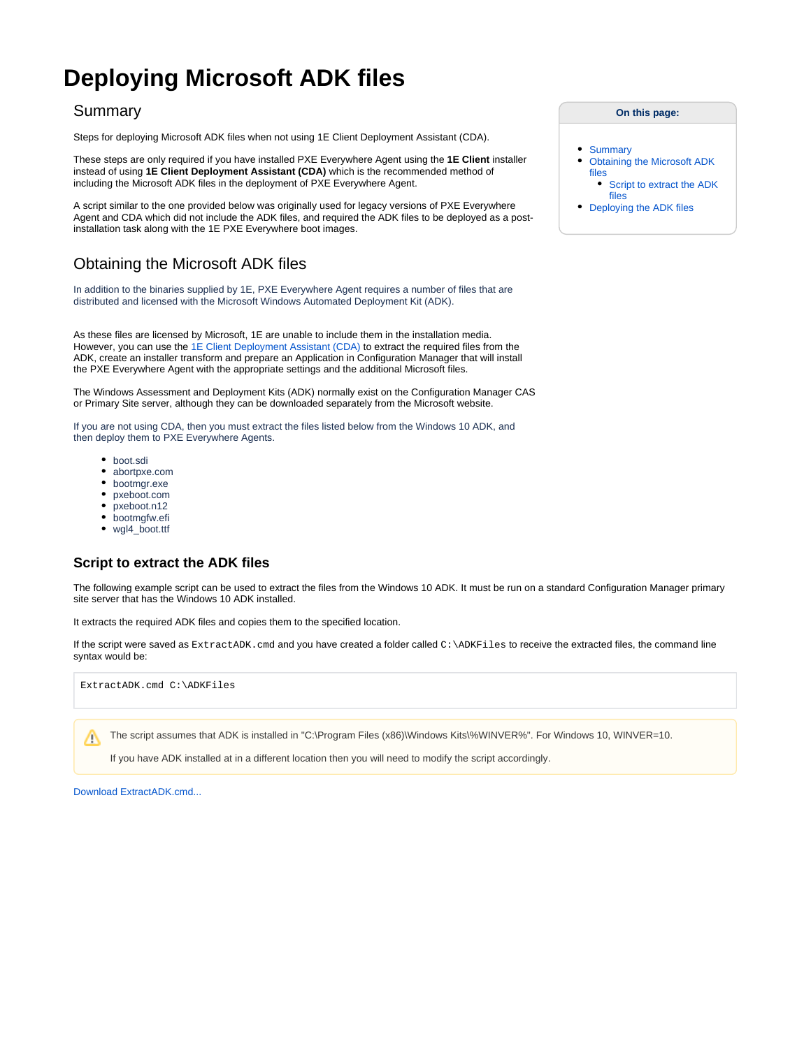# **Deploying Microsoft ADK files**

### <span id="page-0-0"></span>Summary

Steps for deploying Microsoft ADK files when not using 1E Client Deployment Assistant (CDA).

These steps are only required if you have installed PXE Everywhere Agent using the **1E Client** installer instead of using **1E Client Deployment Assistant (CDA)** which is the recommended method of including the Microsoft ADK files in the deployment of PXE Everywhere Agent.

A script similar to the one provided below was originally used for legacy versions of PXE Everywhere Agent and CDA which did not include the ADK files, and required the ADK files to be deployed as a postinstallation task along with the 1E PXE Everywhere boot images.

## <span id="page-0-1"></span>Obtaining the Microsoft ADK files

In addition to the binaries supplied by 1E, PXE Everywhere Agent requires a number of files that are distributed and licensed with the Microsoft Windows Automated Deployment Kit (ADK).

As these files are licensed by Microsoft, 1E are unable to include them in the installation media. However, you can use the [1E Client Deployment Assistant \(CDA\)](https://help.1e.com/display/CDA15/Welcome) to extract the required files from the ADK, create an installer transform and prepare an Application in Configuration Manager that will install the PXE Everywhere Agent with the appropriate settings and the additional Microsoft files.

The Windows Assessment and Deployment Kits (ADK) normally exist on the Configuration Manager CAS or Primary Site server, although they can be downloaded separately from the Microsoft website.

If you are not using CDA, then you must extract the files listed below from the Windows 10 ADK, and then deploy them to PXE Everywhere Agents.

- boot.sdi
- abortpxe.com
- bootmgr.exe
- pxeboot.com
- pxeboot.n12
- bootmgfw.efi
- wgl4\_boot.ttf

#### <span id="page-0-2"></span>**Script to extract the ADK files**

The following example script can be used to extract the files from the Windows 10 ADK. It must be run on a standard Configuration Manager primary site server that has the Windows 10 ADK installed.

It extracts the required ADK files and copies them to the specified location.

If the script were saved as ExtractADK.cmd and you have created a folder called C:\ADKFiles to receive the extracted files, the command line syntax would be:

ExtractADK.cmd C:\ADKFiles

The script assumes that ADK is installed in "C:\Program Files (x86)\Windows Kits\%WINVER%". For Windows 10, WINVER=10. ╱╲

If you have ADK installed at in a different location then you will need to modify the script accordingly.

[Download ExtractADK.cmd...](https://help.1e.com/download/attachments/14159585/ExtractADK.cmd?version=1&modificationDate=1601664648040&api=v2)

**On this page:**

- [Summary](#page-0-0)
- [Obtaining the Microsoft ADK](#page-0-1)  [files](#page-0-1)

• Script to extract the ADK [files](#page-0-2)

[Deploying the ADK files](#page-1-0)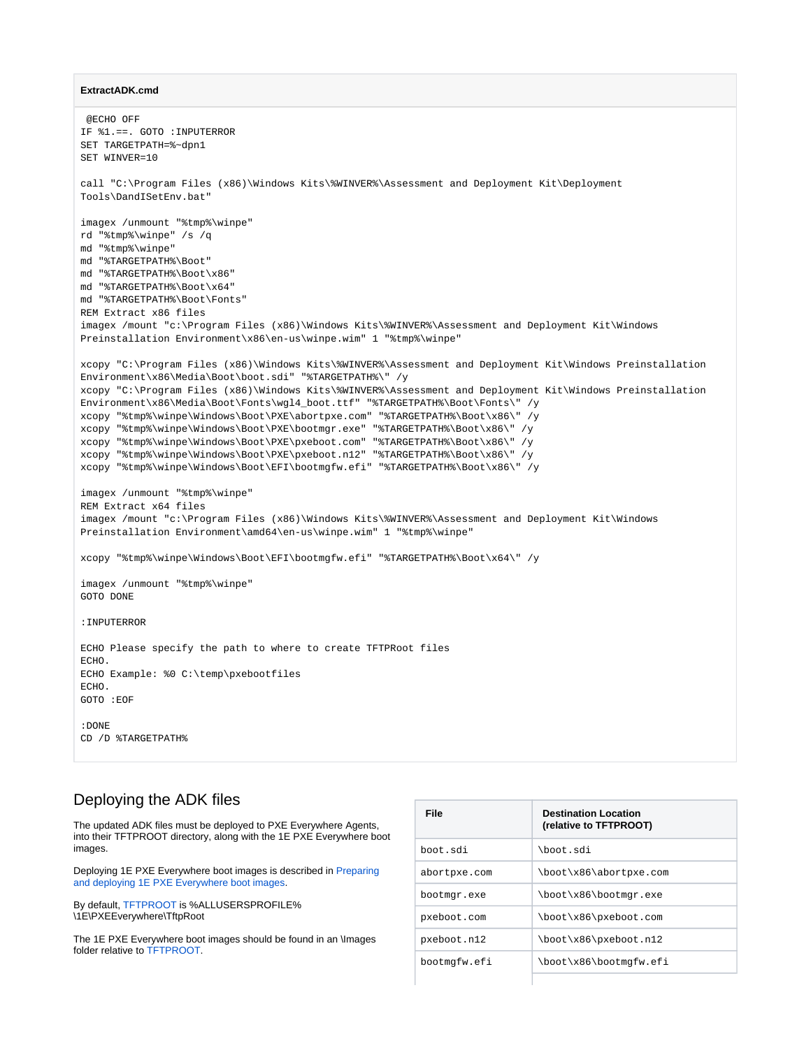#### **ExtractADK.cmd**

```
 @ECHO OFF
IF %1.==. GOTO :INPUTERROR
SET TARGETPATH=%~dpn1
SET WINVER=10
call "C:\Program Files (x86)\Windows Kits\%WINVER%\Assessment and Deployment Kit\Deployment 
Tools\DandISetEnv.bat"
imagex /unmount "%tmp%\winpe"
rd "%tmp%\winpe" /s /q
md "%tmp%\winpe"
md "%TARGETPATH%\Boot"
md "%TARGETPATH%\Boot\x86"
md "%TARGETPATH%\Boot\x64"
md "%TARGETPATH%\Boot\Fonts"
REM Extract x86 files
imagex /mount "c:\Program Files (x86)\Windows Kits\%WINVER%\Assessment and Deployment Kit\Windows 
Preinstallation Environment\x86\en-us\winpe.wim" 1 "%tmp%\winpe"
xcopy "C:\Program Files (x86)\Windows Kits\%WINVER%\Assessment and Deployment Kit\Windows Preinstallation 
Environment\x86\Media\Boot\boot.sdi" "%TARGETPATH%\" /y
xcopy "C:\Program Files (x86)\Windows Kits\%WINVER%\Assessment and Deployment Kit\Windows Preinstallation 
Environment\x86\Media\Boot\Fonts\wgl4_boot.ttf" "%TARGETPATH%\Boot\Fonts\" /y
xcopy "%tmp%\winpe\Windows\Boot\PXE\abortpxe.com" "%TARGETPATH%\Boot\x86\" /y
xcopy "%tmp%\winpe\Windows\Boot\PXE\bootmgr.exe" "%TARGETPATH%\Boot\x86\" /y
xcopy "%tmp%\winpe\Windows\Boot\PXE\pxeboot.com" "%TARGETPATH%\Boot\x86\" /y
xcopy "%tmp%\winpe\Windows\Boot\PXE\pxeboot.n12" "%TARGETPATH%\Boot\x86\" /y
xcopy "%tmp%\winpe\Windows\Boot\EFI\bootmgfw.efi" "%TARGETPATH%\Boot\x86\" /y
imagex /unmount "%tmp%\winpe"
REM Extract x64 files
imagex /mount "c:\Program Files (x86)\Windows Kits\%WINVER%\Assessment and Deployment Kit\Windows 
Preinstallation Environment\amd64\en-us\winpe.wim" 1 "%tmp%\winpe"
xcopy "%tmp%\winpe\Windows\Boot\EFI\bootmgfw.efi" "%TARGETPATH%\Boot\x64\" /y
imagex /unmount "%tmp%\winpe"
GOTO DONE
:INPUTERROR
ECHO Please specify the path to where to create TFTPRoot files
ECHO.
ECHO Example: %0 C:\temp\pxebootfiles
ECHO.
GOTO :EOF
:DONE
CD /D %TARGETPATH%
```
#### <span id="page-1-0"></span>Deploying the ADK files

The updated ADK files must be deployed to PXE Everywhere Agents, into their TFTPROOT directory, along with the 1E PXE Everywhere boot images.

Deploying 1E PXE Everywhere boot images is described in [Preparing](https://help.1e.com/display/PXE40/Preparing+and+deploying+1E+PXE+Everywhere+boot+images)  [and deploying 1E PXE Everywhere boot images](https://help.1e.com/display/PXE40/Preparing+and+deploying+1E+PXE+Everywhere+boot+images).

By default, [TFTPROOT](https://help.1e.com/display/PXE40/PXE+Everywhere+Agent+settings#PXEEverywhereAgentsettings-TftpRoot) is %ALLUSERSPROFILE% \1E\PXEEverywhere\TftpRoot

The 1E PXE Everywhere boot images should be found in an \Images folder relative to [TFTPROOT](https://help.1e.com/display/PXE40/PXE+Everywhere+Agent+settings#PXEEverywhereAgentsettings-TftpRoot).

| <b>File</b>  | <b>Destination Location</b><br>(relative to TFTPROOT) |
|--------------|-------------------------------------------------------|
| boot.sdi     | \boot.sdi                                             |
| abortpxe.com | \boot\x86\abortpxe.com                                |
| bootmgr.exe  | \boot\x86\bootmgr.exe                                 |
| pxeboot.com  | \boot\x86\pxeboot.com                                 |
| pxeboot.n12  | \boot\x86\pxeboot.n12                                 |
| bootmgfw.efi | \boot\x86\bootmgfw.efi                                |